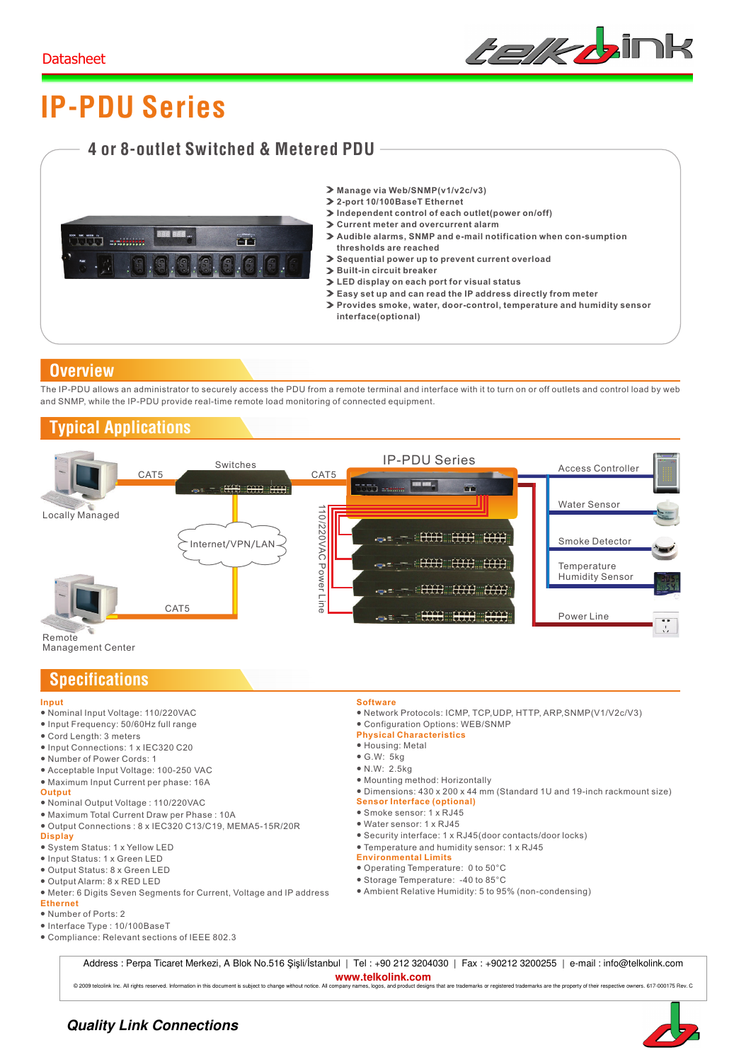

# **IP-PDU Series**

## **4 or 8-outlet Switched & Metered PDU**



- **Manage via Web/SNMP(v1/v2c/v3)**
- **2-port 10/100BaseT Ethernet**
- **Independent control of each outlet(power on/off)**
- **Current meter and overcurrent alarm**
- **Audible alarms, SNMP and e-mail notification when con-sumption thresholds are reached**
- **Sequential power up to prevent current overload**
- **Built-in circuit breaker**
- **LED display on each port for visual status**
- **Easy set up and can read the IP address directly from meter**
- **Provides smoke, water, door-control, temperature and humidity sensor interface(optional)**

### **Overview**

The IP-PDU allows an administrator to securely access the PDU from a remote terminal and interface with it to turn on or off outlets and control load by web and SNMP, while the IP-PDU provide real-time remote load monitoring of connected equipment.

## **Typical Applications**



#### **Input**

- Nominal Input Voltage: 110/220VAC
- Input Frequency: 50/60Hz full range
- Cord Length: 3 meters
- Input Connections: 1 x IEC320 C20
- Number of Power Cords: 1
- 
- Acceptable Input Voltage: 100-250 VAC ● Maximum Input Current per phase: 16A
- **Output**
- Nominal Output Voltage : 110/220VAC
- Maximum Total Current Draw per Phase : 10A
- **Display** ● Output Connections : 8 x IEC320 C13/C19, MEMA5-15R/20R
- System Status: 1 x Yellow LED
- Input Status: 1 x Green LED
- Output Status: 8 x Green LED
- Output Alarm: 8 x RED LED
- Meter: 6 Digits Seven Segments for Current, Voltage and IP address
- **Ethernet**
- Number of Ports: 2
- Interface Type : 10/100BaseT
- Compliance: Relevant sections of IEEE 802.3
- **Software**
- Network Protocols: ICMP, TCP,UDP, HTTP, ARP,SNMP(V1/V2c/V3)
- Configuration Options: WEB/SNMP
- **Physical Characteristics**
- Housing: Metal
- $\bullet$  G.W: 5kg
- N.W: 2.5kg
- Mounting method: Horizontally
- Dimensions: 430 x 200 x 44 mm (Standard 1U and 19-inch rackmount size)
- **Sensor Interface (optional)**
- Smoke sensor: 1 x RJ45
- Water sensor: 1 x RJ45
- Security interface: 1 x RJ45(door contacts/door locks)
- Temperature and humidity sensor: 1 x RJ45
- **Environmental Limits**
- Operating Temperature: 0 to 50°C
- Storage Temperature: -40 to 85°C
- Ambient Relative Humidity: 5 to 95% (non-condensing)

Address : Perpa Ticaret Merkezi, A Blok No.516 Şişli/İstanbul | Tel : +90 212 3204030 | Fax : +90212 3200255 | e-mail : info@telkolink.com **www.telkolink.com** 

© 2009 telcolink Inc. All rights reserved. Information in this document is subject to change without notice. All company names, logos, and product designs that are trademarks or registered trademarks are the property of th